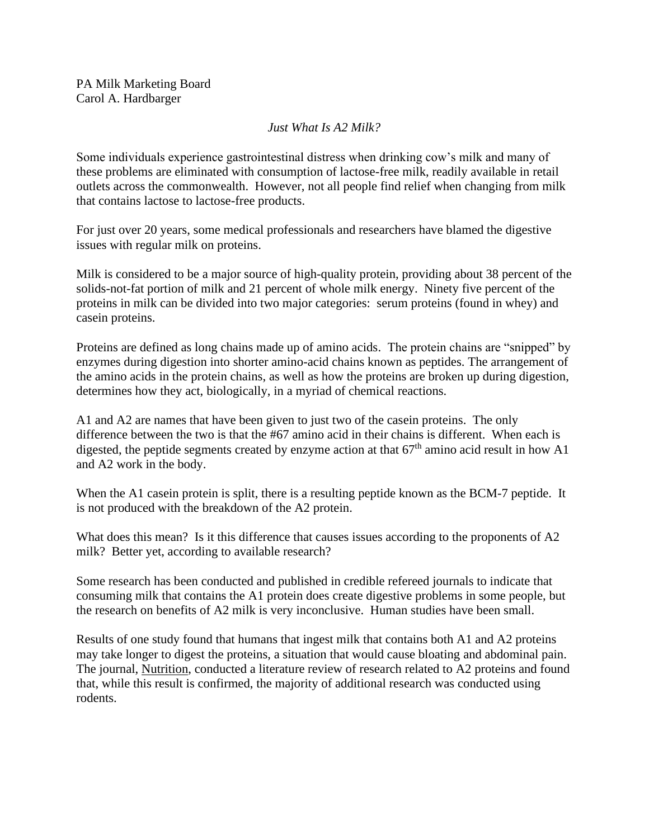## *Just What Is A2 Milk?*

Some individuals experience gastrointestinal distress when drinking cow's milk and many of these problems are eliminated with consumption of lactose-free milk, readily available in retail outlets across the commonwealth. However, not all people find relief when changing from milk that contains lactose to lactose-free products.

For just over 20 years, some medical professionals and researchers have blamed the digestive issues with regular milk on proteins.

Milk is considered to be a major source of high-quality protein, providing about 38 percent of the solids-not-fat portion of milk and 21 percent of whole milk energy. Ninety five percent of the proteins in milk can be divided into two major categories: serum proteins (found in whey) and casein proteins.

Proteins are defined as long chains made up of amino acids. The protein chains are "snipped" by enzymes during digestion into shorter amino-acid chains known as peptides. The arrangement of the amino acids in the protein chains, as well as how the proteins are broken up during digestion, determines how they act, biologically, in a myriad of chemical reactions.

A1 and A2 are names that have been given to just two of the casein proteins. The only difference between the two is that the #67 amino acid in their chains is different. When each is digested, the peptide segments created by enzyme action at that  $67<sup>th</sup>$  amino acid result in how A1 and A2 work in the body.

When the A1 casein protein is split, there is a resulting peptide known as the BCM-7 peptide. It is not produced with the breakdown of the A2 protein.

What does this mean? Is it this difference that causes issues according to the proponents of A2 milk? Better yet, according to available research?

Some research has been conducted and published in credible refereed journals to indicate that consuming milk that contains the A1 protein does create digestive problems in some people, but the research on benefits of A2 milk is very inconclusive. Human studies have been small.

Results of one study found that humans that ingest milk that contains both A1 and A2 proteins may take longer to digest the proteins, a situation that would cause bloating and abdominal pain. The journal, Nutrition, conducted a literature review of research related to A2 proteins and found that, while this result is confirmed, the majority of additional research was conducted using rodents.